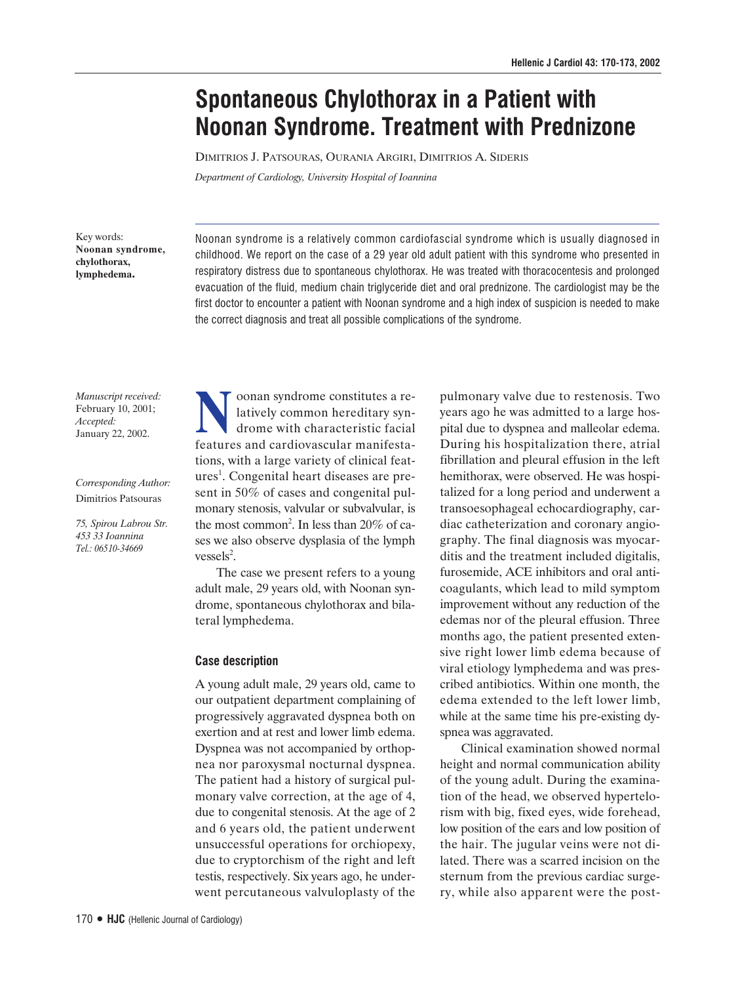# **Spontaneous Chylothorax in a Patient with Noonan Syndrome. Treatment with Prednizone**

DIMITRIOS J. PATSOURAS, OURANIA ARGIRI, DIMITRIOS A. SIDERIS

*Department of Cardiology, University Hospital of Ioannina*

Key words: **Noonan syndrome, chylothorax, lymphedema.**

Noonan syndrome is a relatively common cardiofascial syndrome which is usually diagnosed in childhood. We report on the case of a 29 year old adult patient with this syndrome who presented in respiratory distress due to spontaneous chylothorax. He was treated with thoracocentesis and prolonged evacuation of the fluid, medium chain triglyceride diet and oral prednizone. The cardiologist may be the first doctor to encounter a patient with Noonan syndrome and a high index of suspicion is needed to make the correct diagnosis and treat all possible complications of the syndrome.

*Manuscript received:* February 10, 2001; *Accepted:* January 22, 2002.

## *Corresponding Author:* Dimitrios Patsouras

*75, Spirou Labrou Str. 453 33 Ioannina Tel.: 06510-34669*

Noonan syndrome constitutes a re-<br>latively common hereditary syn-<br>drome with characteristic facial latively common hereditary syndrome with characteristic facial features and cardiovascular manifestations, with a large variety of clinical features<sup>1</sup>. Congenital heart diseases are present in 50% of cases and congenital pulmonary stenosis, valvular or subvalvular, is the most common<sup>2</sup>. In less than 20% of cases we also observe dysplasia of the lymph  $v$ essels<sup>2</sup>.

The case we present refers to a young adult male, 29 years old, with Noonan syndrome, spontaneous chylothorax and bilateral lymphedema.

# **Case description**

A young adult male, 29 years old, came to our outpatient department complaining of progressively aggravated dyspnea both on exertion and at rest and lower limb edema. Dyspnea was not accompanied by orthopnea nor paroxysmal nocturnal dyspnea. The patient had a history of surgical pulmonary valve correction, at the age of 4, due to congenital stenosis. At the age of 2 and 6 years old, the patient underwent unsuccessful operations for orchiopexy, due to cryptorchism of the right and left testis, respectively. Six years ago, he underwent percutaneous valvuloplasty of the

pulmonary valve due to restenosis. Two years ago he was admitted to a large hospital due to dyspnea and malleolar edema. During his hospitalization there, atrial fibrillation and pleural effusion in the left hemithorax, were observed. He was hospitalized for a long period and underwent a transoesophageal echocardiography, cardiac catheterization and coronary angiography. The final diagnosis was myocarditis and the treatment included digitalis, furosemide, ACE inhibitors and oral anticoagulants, which lead to mild symptom improvement without any reduction of the edemas nor of the pleural effusion. Three months ago, the patient presented extensive right lower limb edema because of viral etiology lymphedema and was prescribed antibiotics. Within one month, the edema extended to the left lower limb, while at the same time his pre-existing dyspnea was aggravated.

Clinical examination showed normal height and normal communication ability of the young adult. During the examination of the head, we observed hypertelorism with big, fixed eyes, wide forehead, low position of the ears and low position of the hair. The jugular veins were not dilated. There was a scarred incision on the sternum from the previous cardiac surgery, while also apparent were the post-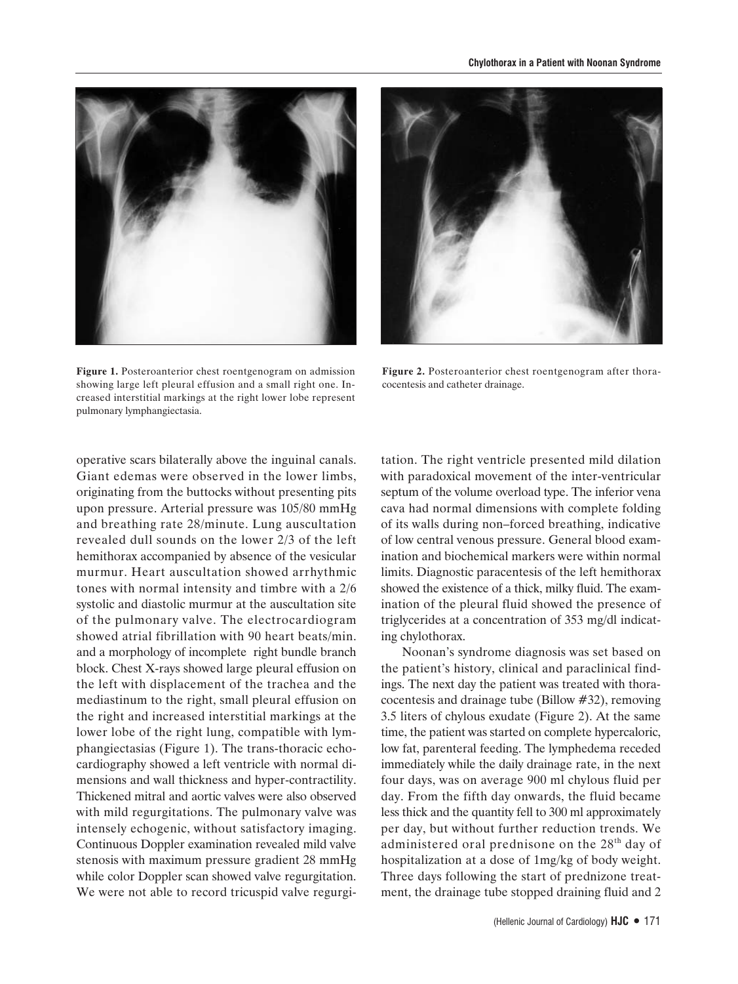



**Figure 1.** Posteroanterior chest roentgenogram on admission showing large left pleural effusion and a small right one. Increased interstitial markings at the right lower lobe represent pulmonary lymphangiectasia.

Figure 2. Posteroanterior chest roentgenogram after thoracocentesis and catheter drainage.

operative scars bilaterally above the inguinal canals. Giant edemas were observed in the lower limbs, originating from the buttocks without presenting pits upon pressure. Arterial pressure was 105/80 mmHg and breathing rate 28/minute. Lung auscultation revealed dull sounds on the lower 2/3 of the left hemithorax accompanied by absence of the vesicular murmur. Heart auscultation showed arrhythmic tones with normal intensity and timbre with a 2/6 systolic and diastolic murmur at the auscultation site of the pulmonary valve. The electrocardiogram showed atrial fibrillation with 90 heart beats/min. and a morphology of incomplete right bundle branch block. Chest X-rays showed large pleural effusion on the left with displacement of the trachea and the mediastinum to the right, small pleural effusion on the right and increased interstitial markings at the lower lobe of the right lung, compatible with lymphangiectasias (Figure 1). The trans-thoracic echocardiography showed a left ventricle with normal dimensions and wall thickness and hyper-contractility. Thickened mitral and aortic valves were also observed with mild regurgitations. The pulmonary valve was intensely echogenic, without satisfactory imaging. Continuous Doppler examination revealed mild valve stenosis with maximum pressure gradient 28 mmHg while color Doppler scan showed valve regurgitation. We were not able to record tricuspid valve regurgitation. The right ventricle presented mild dilation with paradoxical movement of the inter-ventricular septum of the volume overload type. The inferior vena cava had normal dimensions with complete folding of its walls during non–forced breathing, indicative of low central venous pressure. General blood examination and biochemical markers were within normal limits. Diagnostic paracentesis of the left hemithorax showed the existence of a thick, milky fluid. The examination of the pleural fluid showed the presence of triglycerides at a concentration of 353 mg/dl indicating chylothorax.

Noonan's syndrome diagnosis was set based on the patient's history, clinical and paraclinical findings. The next day the patient was treated with thoracocentesis and drainage tube (Billow #32), removing 3.5 liters of chylous exudate (Figure 2). At the same time, the patient was started on complete hypercaloric, low fat, parenteral feeding. The lymphedema receded immediately while the daily drainage rate, in the next four days, was on average 900 ml chylous fluid per day. From the fifth day onwards, the fluid became less thick and the quantity fell to 300 ml approximately per day, but without further reduction trends. We administered oral prednisone on the 28<sup>th</sup> day of hospitalization at a dose of 1mg/kg of body weight. Three days following the start of prednizone treatment, the drainage tube stopped draining fluid and 2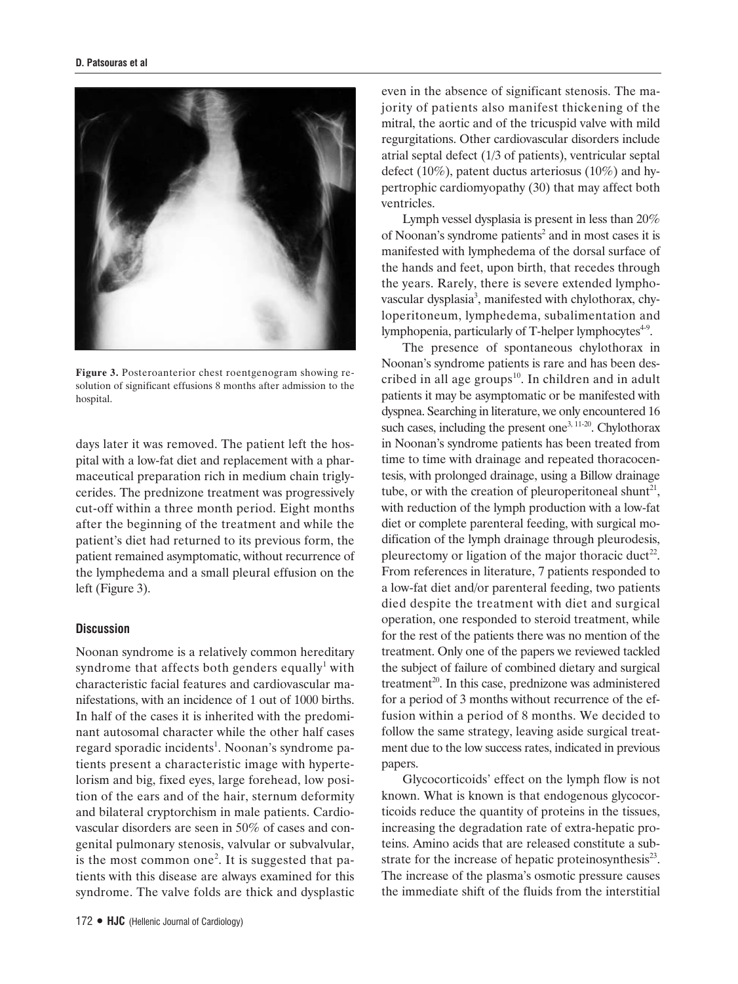

**Figure 3.** Posteroanterior chest roentgenogram showing resolution of significant effusions 8 months after admission to the hospital.

days later it was removed. The patient left the hospital with a low-fat diet and replacement with a pharmaceutical preparation rich in medium chain triglycerides. The prednizone treatment was progressively cut-off within a three month period. Eight months after the beginning of the treatment and while the patient's diet had returned to its previous form, the patient remained asymptomatic, without recurrence of the lymphedema and a small pleural effusion on the left (Figure 3).

## **Discussion**

Noonan syndrome is a relatively common hereditary syndrome that affects both genders equally<sup>1</sup> with characteristic facial features and cardiovascular manifestations, with an incidence of 1 out of 1000 births. In half of the cases it is inherited with the predominant autosomal character while the other half cases regard sporadic incidents<sup>1</sup>. Noonan's syndrome patients present a characteristic image with hypertelorism and big, fixed eyes, large forehead, low position of the ears and of the hair, sternum deformity and bilateral cryptorchism in male patients. Cardiovascular disorders are seen in 50% of cases and congenital pulmonary stenosis, valvular or subvalvular, is the most common one<sup>2</sup>. It is suggested that patients with this disease are always examined for this syndrome. The valve folds are thick and dysplastic

even in the absence of significant stenosis. The majority of patients also manifest thickening of the mitral, the aortic and of the tricuspid valve with mild regurgitations. Other cardiovascular disorders include atrial septal defect (1/3 of patients), ventricular septal defect (10%), patent ductus arteriosus (10%) and hypertrophic cardiomyopathy (30) that may affect both ventricles.

Lymph vessel dysplasia is present in less than 20% of Noonan's syndrome patients<sup>2</sup> and in most cases it is manifested with lymphedema of the dorsal surface of the hands and feet, upon birth, that recedes through the years. Rarely, there is severe extended lymphovascular dysplasia<sup>3</sup>, manifested with chylothorax, chyloperitoneum, lymphedema, subalimentation and lymphopenia, particularly of T-helper lymphocytes<sup>4-9</sup>.

The presence of spontaneous chylothorax in Noonan's syndrome patients is rare and has been described in all age groups<sup>10</sup>. In children and in adult patients it may be asymptomatic or be manifested with dyspnea. Searching in literature, we only encountered 16 such cases, including the present one<sup>3, 11-20</sup>. Chylothorax in Noonan's syndrome patients has been treated from time to time with drainage and repeated thoracocentesis, with prolonged drainage, using a Billow drainage tube, or with the creation of pleuroperitoneal shunt<sup>21</sup>, with reduction of the lymph production with a low-fat diet or complete parenteral feeding, with surgical modification of the lymph drainage through pleurodesis, pleurectomy or ligation of the major thoracic duct<sup>22</sup>. From references in literature, 7 patients responded to a low-fat diet and/or parenteral feeding, two patients died despite the treatment with diet and surgical operation, one responded to steroid treatment, while for the rest of the patients there was no mention of the treatment. Only one of the papers we reviewed tackled the subject of failure of combined dietary and surgical treatment<sup>20</sup>. In this case, prednizone was administered for a period of 3 months without recurrence of the effusion within a period of 8 months. We decided to follow the same strategy, leaving aside surgical treatment due to the low success rates, indicated in previous papers.

Glycocorticoids' effect on the lymph flow is not known. What is known is that endogenous glycocorticoids reduce the quantity of proteins in the tissues, increasing the degradation rate of extra-hepatic proteins. Amino acids that are released constitute a substrate for the increase of hepatic proteinosynthesis<sup>23</sup>. The increase of the plasma's osmotic pressure causes the immediate shift of the fluids from the interstitial